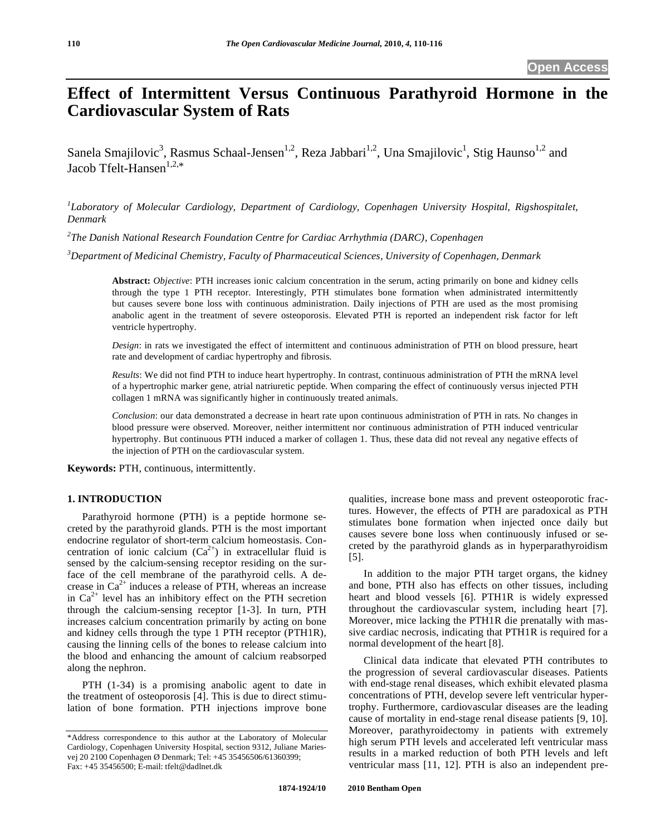# **Effect of Intermittent Versus Continuous Parathyroid Hormone in the Cardiovascular System of Rats**

Sanela Smajilovic<sup>3</sup>, Rasmus Schaal-Jensen<sup>1,2</sup>, Reza Jabbari<sup>1,2</sup>, Una Smajilovic<sup>1</sup>, Stig Haunso<sup>1,2</sup> and Jacob Tfelt-Hansen $1,2,*$ 

*1 Laboratory of Molecular Cardiology, Department of Cardiology, Copenhagen University Hospital, Rigshospitalet, Denmark* 

*2 The Danish National Research Foundation Centre for Cardiac Arrhythmia (DARC), Copenhagen* 

*3 Department of Medicinal Chemistry, Faculty of Pharmaceutical Sciences, University of Copenhagen, Denmark* 

**Abstract:** *Objective*: PTH increases ionic calcium concentration in the serum, acting primarily on bone and kidney cells through the type 1 PTH receptor. Interestingly, PTH stimulates bone formation when administrated intermittently but causes severe bone loss with continuous administration. Daily injections of PTH are used as the most promising anabolic agent in the treatment of severe osteoporosis. Elevated PTH is reported an independent risk factor for left ventricle hypertrophy.

*Design*: in rats we investigated the effect of intermittent and continuous administration of PTH on blood pressure, heart rate and development of cardiac hypertrophy and fibrosis.

*Results*: We did not find PTH to induce heart hypertrophy. In contrast, continuous administration of PTH the mRNA level of a hypertrophic marker gene, atrial natriuretic peptide. When comparing the effect of continuously versus injected PTH collagen 1 mRNA was significantly higher in continuously treated animals.

*Conclusion*: our data demonstrated a decrease in heart rate upon continuous administration of PTH in rats. No changes in blood pressure were observed. Moreover, neither intermittent nor continuous administration of PTH induced ventricular hypertrophy. But continuous PTH induced a marker of collagen 1. Thus, these data did not reveal any negative effects of the injection of PTH on the cardiovascular system.

**Keywords:** PTH, continuous, intermittently.

# **1. INTRODUCTION**

 Parathyroid hormone (PTH) is a peptide hormone secreted by the parathyroid glands. PTH is the most important endocrine regulator of short-term calcium homeostasis. Concentration of ionic calcium  $(Ca^{2+})$  in extracellular fluid is sensed by the calcium-sensing receptor residing on the surface of the cell membrane of the parathyroid cells. A decrease in  $Ca^{2+}$  induces a release of PTH, whereas an increase in  $Ca^{2+}$  level has an inhibitory effect on the PTH secretion through the calcium-sensing receptor [1-3]. In turn, PTH increases calcium concentration primarily by acting on bone and kidney cells through the type 1 PTH receptor (PTH1R), causing the linning cells of the bones to release calcium into the blood and enhancing the amount of calcium reabsorped along the nephron.

 PTH (1-34) is a promising anabolic agent to date in the treatment of osteoporosis [4]. This is due to direct stimulation of bone formation. PTH injections improve bone

qualities, increase bone mass and prevent osteoporotic fractures. However, the effects of PTH are paradoxical as PTH stimulates bone formation when injected once daily but causes severe bone loss when continuously infused or secreted by the parathyroid glands as in hyperparathyroidism [5].

 In addition to the major PTH target organs, the kidney and bone, PTH also has effects on other tissues, including heart and blood vessels [6]. PTH1R is widely expressed throughout the cardiovascular system, including heart [7]. Moreover, mice lacking the PTH1R die prenatally with massive cardiac necrosis, indicating that PTH1R is required for a normal development of the heart [8].

 Clinical data indicate that elevated PTH contributes to the progression of several cardiovascular diseases. Patients with end-stage renal diseases, which exhibit elevated plasma concentrations of PTH, develop severe left ventricular hypertrophy. Furthermore, cardiovascular diseases are the leading cause of mortality in end-stage renal disease patients [9, 10]. Moreover, parathyroidectomy in patients with extremely high serum PTH levels and accelerated left ventricular mass results in a marked reduction of both PTH levels and left ventricular mass [11, 12]. PTH is also an independent pre-

<sup>\*</sup>Address correspondence to this author at the Laboratory of Molecular Cardiology, Copenhagen University Hospital, section 9312, Juliane Mariesvej 20 2100 Copenhagen Ø Denmark; Tel: +45 35456506/61360399; Fax: +45 35456500; E-mail: tfelt@dadlnet.dk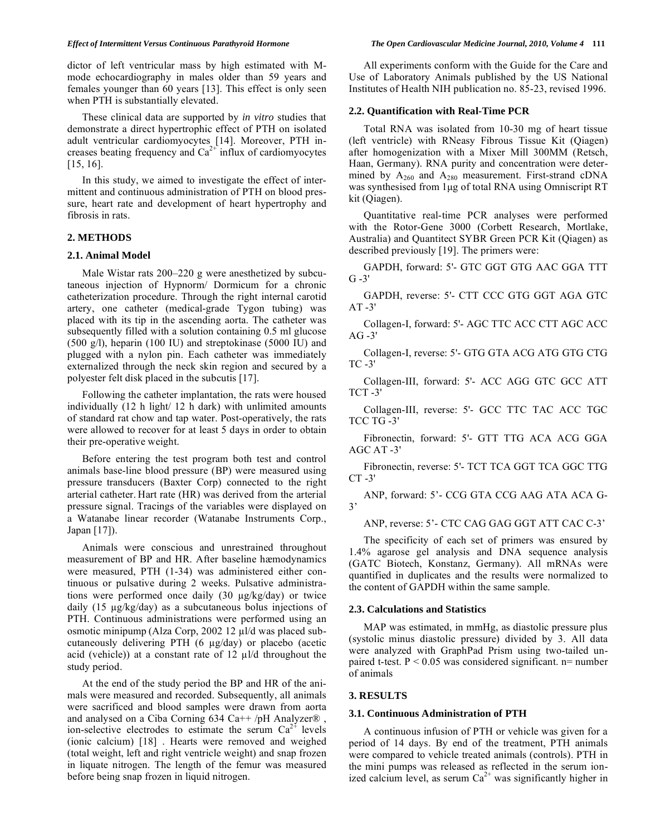dictor of left ventricular mass by high estimated with Mmode echocardiography in males older than 59 years and females younger than 60 years [13]. This effect is only seen when PTH is substantially elevated.

 These clinical data are supported by *in vitro* studies that demonstrate a direct hypertrophic effect of PTH on isolated adult ventricular cardiomyocytes [14]. Moreover, PTH increases beating frequency and  $Ca<sup>2+</sup>$  influx of cardiomyocytes [15, 16].

 In this study, we aimed to investigate the effect of intermittent and continuous administration of PTH on blood pressure, heart rate and development of heart hypertrophy and fibrosis in rats.

# **2. METHODS**

#### **2.1. Animal Model**

 Male Wistar rats 200–220 g were anesthetized by subcutaneous injection of Hypnorm/ Dormicum for a chronic catheterization procedure. Through the right internal carotid artery, one catheter (medical-grade Tygon tubing) was placed with its tip in the ascending aorta. The catheter was subsequently filled with a solution containing 0.5 ml glucose (500 g/l), heparin (100 IU) and streptokinase (5000 IU) and plugged with a nylon pin. Each catheter was immediately externalized through the neck skin region and secured by a polyester felt disk placed in the subcutis [17].

 Following the catheter implantation, the rats were housed individually (12 h light/ 12 h dark) with unlimited amounts of standard rat chow and tap water. Post-operatively, the rats were allowed to recover for at least 5 days in order to obtain their pre-operative weight.

 Before entering the test program both test and control animals base-line blood pressure (BP) were measured using pressure transducers (Baxter Corp) connected to the right arterial catheter. Hart rate (HR) was derived from the arterial pressure signal. Tracings of the variables were displayed on a Watanabe linear recorder (Watanabe Instruments Corp., Japan [17]).

 Animals were conscious and unrestrained throughout measurement of BP and HR. After baseline hæmodynamics were measured, PTH (1-34) was administered either continuous or pulsative during 2 weeks. Pulsative administrations were performed once daily  $(30 \mu g/kg/day)$  or twice daily  $(15 \mu g/kg/day)$  as a subcutaneous bolus injections of PTH. Continuous administrations were performed using an osmotic minipump (Alza Corp, 2002 12  $\mu$ l/d was placed subcutaneously delivering PTH  $(6 \mu g/day)$  or placebo (acetic acid (vehicle)) at a constant rate of  $12 \mu$  l/d throughout the study period.

 At the end of the study period the BP and HR of the animals were measured and recorded. Subsequently, all animals were sacrificed and blood samples were drawn from aorta and analysed on a Ciba Corning  $634$  Ca++ /pH Analyzer®, ion-selective electrodes to estimate the serum  $Ca^{2+}$  levels (ionic calcium) [18] . Hearts were removed and weighed (total weight, left and right ventricle weight) and snap frozen in liquate nitrogen. The length of the femur was measured before being snap frozen in liquid nitrogen.

 All experiments conform with the Guide for the Care and Use of Laboratory Animals published by the US National Institutes of Health NIH publication no. 85-23, revised 1996.

## **2.2. Quantification with Real-Time PCR**

 Total RNA was isolated from 10-30 mg of heart tissue (left ventricle) with RNeasy Fibrous Tissue Kit (Qiagen) after homogenization with a Mixer Mill 300MM (Retsch, Haan, Germany). RNA purity and concentration were determined by  $A_{260}$  and  $A_{280}$  measurement. First-strand cDNA was synthesised from 1μg of total RNA using Omniscript RT kit (Qiagen).

 Quantitative real-time PCR analyses were performed with the Rotor-Gene 3000 (Corbett Research, Mortlake, Australia) and Quantitect SYBR Green PCR Kit (Qiagen) as described previously [19]. The primers were:

 GAPDH, forward: 5'- GTC GGT GTG AAC GGA TTT  $G - 3'$ 

 GAPDH, reverse: 5'- CTT CCC GTG GGT AGA GTC  $AT - 3'$ 

 Collagen-I, forward: 5'- AGC TTC ACC CTT AGC ACC AG -3'

 Collagen-I, reverse: 5'- GTG GTA ACG ATG GTG CTG TC -3'

 Collagen-III, forward: 5'- ACC AGG GTC GCC ATT TCT -3'

 Collagen-III, reverse: 5'- GCC TTC TAC ACC TGC TCC TG -3'

 Fibronectin, forward: 5'- GTT TTG ACA ACG GGA AGC AT -3'

 Fibronectin, reverse: 5'- TCT TCA GGT TCA GGC TTG  $CT -3'$ 

 ANP, forward: 5'- CCG GTA CCG AAG ATA ACA G-3'

ANP, reverse: 5'- CTC CAG GAG GGT ATT CAC C-3'

 The specificity of each set of primers was ensured by 1.4% agarose gel analysis and DNA sequence analysis (GATC Biotech, Konstanz, Germany). All mRNAs were quantified in duplicates and the results were normalized to the content of GAPDH within the same sample.

### **2.3. Calculations and Statistics**

 MAP was estimated, in mmHg, as diastolic pressure plus (systolic minus diastolic pressure) divided by 3. All data were analyzed with GraphPad Prism using two-tailed unpaired t-test.  $P < 0.05$  was considered significant. n= number of animals

#### **3. RESULTS**

### **3.1. Continuous Administration of PTH**

 A continuous infusion of PTH or vehicle was given for a period of 14 days. By end of the treatment, PTH animals were compared to vehicle treated animals (controls). PTH in the mini pumps was released as reflected in the serum ionized calcium level, as serum  $Ca^{2+}$  was significantly higher in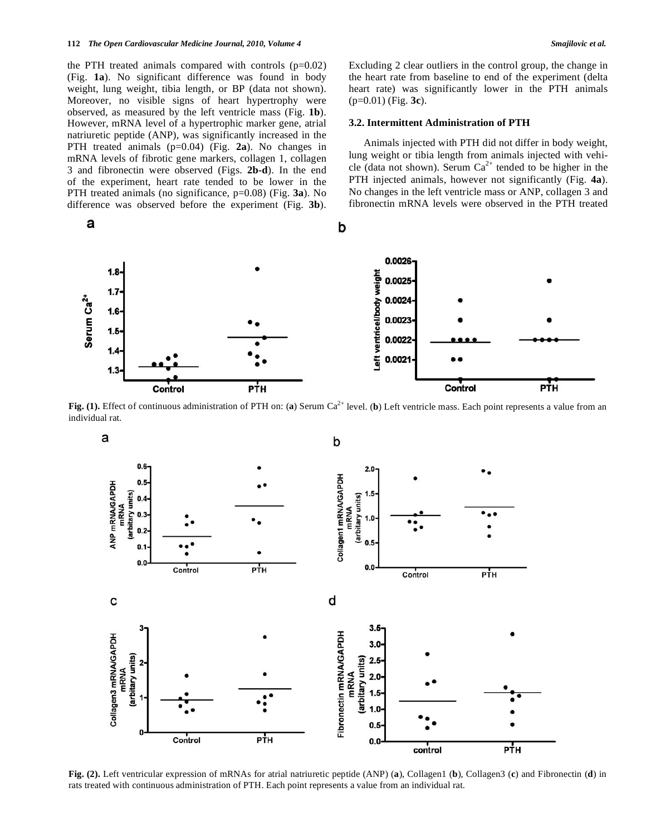the PTH treated animals compared with controls  $(p=0.02)$ (Fig. **1a**). No significant difference was found in body weight, lung weight, tibia length, or BP (data not shown). Moreover, no visible signs of heart hypertrophy were observed, as measured by the left ventricle mass (Fig. **1b**). However, mRNA level of a hypertrophic marker gene, atrial natriuretic peptide (ANP), was significantly increased in the PTH treated animals (p=0.04) (Fig. **2a**). No changes in mRNA levels of fibrotic gene markers, collagen 1, collagen 3 and fibronectin were observed (Figs. **2b-d**). In the end of the experiment, heart rate tended to be lower in the PTH treated animals (no significance, p=0.08) (Fig. **3a**). No difference was observed before the experiment (Fig. **3b**).

a

a

ANP mRNA/GAPDH (arbitary units)  $0.6$ 

O.

O.  $0.3$ 

 $0.2$ 

 $0.1$  $0.0$ 

0.0026  $1.8$ weight 0.0025  $1.7$ Serum Ca<sup>2+</sup> 0.0024 Left ventricel/body  $1.6$ 0.0023  $1.5$ 0.0022  $1.4$ 0.0021  $1.3$ Control РŤН Control

**Fig. (1).** Effect of continuous administration of PTH on: (a) Serum Ca<sup>2+</sup> level. (b) Left ventricle mass. Each point represents a value from an individual rat.

b

Collagen1 mRNA/GAPDH<br>mRNA

(arbitary units)

 $2.0$ 

 $1.0$ 

n

 $0.0$ 



**Fig. (2).** Left ventricular expression of mRNAs for atrial natriuretic peptide (ANP) (**a**), Collagen1 (**b**), Collagen3 (**c**) and Fibronectin (**d**) in rats treated with continuous administration of PTH. Each point represents a value from an individual rat.

Excluding 2 clear outliers in the control group, the change in the heart rate from baseline to end of the experiment (delta heart rate) was significantly lower in the PTH animals (p=0.01) (Fig. **3c**).

### **3.2. Intermittent Administration of PTH**

 Animals injected with PTH did not differ in body weight, lung weight or tibia length from animals injected with vehicle (data not shown). Serum  $Ca^{2+}$  tended to be higher in the PTH injected animals, however not significantly (Fig. **4a**). No changes in the left ventricle mass or ANP, collagen 3 and fibronectin mRNA levels were observed in the PTH treated



РТН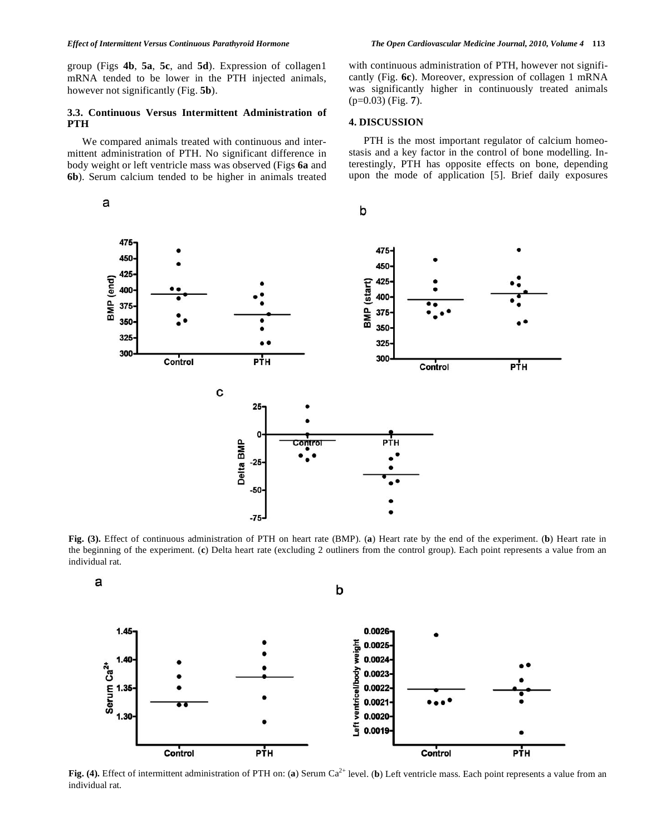group (Figs **4b**, **5a**, **5c**, and **5d**). Expression of collagen1 mRNA tended to be lower in the PTH injected animals, however not significantly (Fig. **5b**).

## **3.3. Continuous Versus Intermittent Administration of PTH**

 We compared animals treated with continuous and intermittent administration of PTH. No significant difference in body weight or left ventricle mass was observed (Figs **6a** and **6b**). Serum calcium tended to be higher in animals treated with continuous administration of PTH, however not significantly (Fig. **6c**). Moreover, expression of collagen 1 mRNA was significantly higher in continuously treated animals (p=0.03) (Fig. **7**).

#### **4. DISCUSSION**

 PTH is the most important regulator of calcium homeostasis and a key factor in the control of bone modelling. Interestingly, PTH has opposite effects on bone, depending upon the mode of application [5]. Brief daily exposures



**Fig. (3).** Effect of continuous administration of PTH on heart rate (BMP). (**a**) Heart rate by the end of the experiment. (**b**) Heart rate in the beginning of the experiment. (**c**) Delta heart rate (excluding 2 outliners from the control group). Each point represents a value from an individual rat.



**Fig. (4).** Effect of intermittent administration of PTH on: (a) Serum Ca<sup>2+</sup> level. (b) Left ventricle mass. Each point represents a value from an individual rat.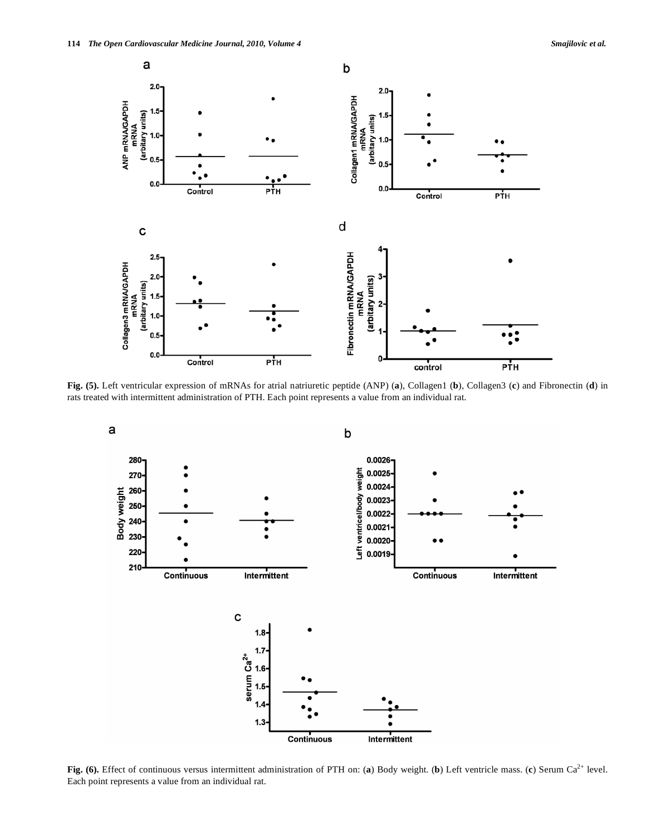

**Fig. (5).** Left ventricular expression of mRNAs for atrial natriuretic peptide (ANP) (**a**), Collagen1 (**b**), Collagen3 (**c**) and Fibronectin (**d**) in rats treated with intermittent administration of PTH. Each point represents a value from an individual rat.



**Fig. (6).** Effect of continuous versus intermittent administration of PTH on: (a) Body weight. (b) Left ventricle mass. (c) Serum Ca<sup>2+</sup> level. Each point represents a value from an individual rat.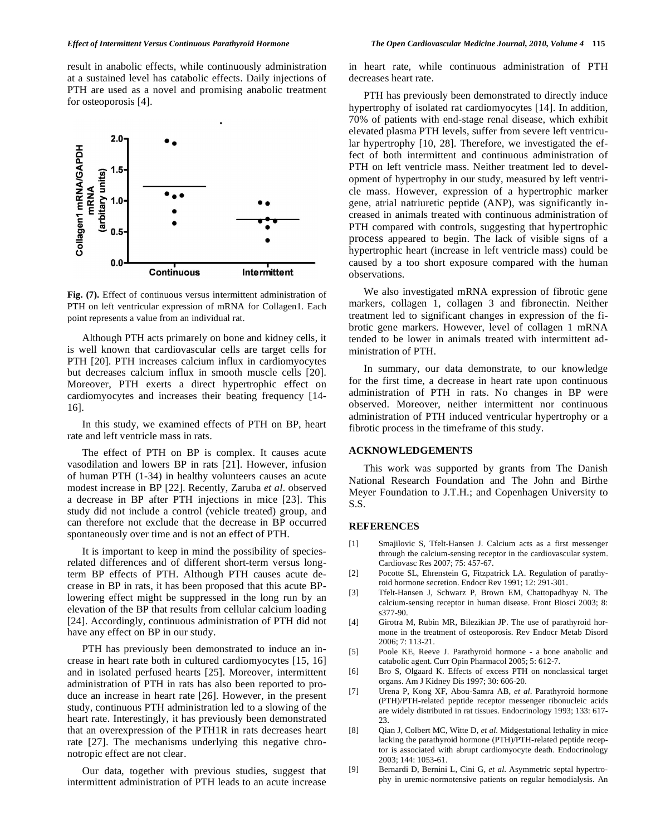result in anabolic effects, while continuously administration at a sustained level has catabolic effects. Daily injections of PTH are used as a novel and promising anabolic treatment for osteoporosis [4].



**Fig. (7).** Effect of continuous versus intermittent administration of PTH on left ventricular expression of mRNA for Collagen1. Each point represents a value from an individual rat.

 Although PTH acts primarely on bone and kidney cells, it is well known that cardiovascular cells are target cells for PTH [20]. PTH increases calcium influx in cardiomyocytes but decreases calcium influx in smooth muscle cells [20]. Moreover, PTH exerts a direct hypertrophic effect on cardiomyocytes and increases their beating frequency [14- 16].

 In this study, we examined effects of PTH on BP, heart rate and left ventricle mass in rats.

 The effect of PTH on BP is complex. It causes acute vasodilation and lowers BP in rats [21]. However, infusion of human PTH (1-34) in healthy volunteers causes an acute modest increase in BP [22]. Recently, Zaruba *et al*. observed a decrease in BP after PTH injections in mice [23]. This study did not include a control (vehicle treated) group, and can therefore not exclude that the decrease in BP occurred spontaneously over time and is not an effect of PTH.

 It is important to keep in mind the possibility of speciesrelated differences and of different short-term versus longterm BP effects of PTH. Although PTH causes acute decrease in BP in rats, it has been proposed that this acute BPlowering effect might be suppressed in the long run by an elevation of the BP that results from cellular calcium loading [24]. Accordingly, continuous administration of PTH did not have any effect on BP in our study.

 PTH has previously been demonstrated to induce an increase in heart rate both in cultured cardiomyocytes [15, 16] and in isolated perfused hearts [25]. Moreover, intermittent administration of PTH in rats has also been reported to produce an increase in heart rate [26]. However, in the present study, continuous PTH administration led to a slowing of the heart rate. Interestingly, it has previously been demonstrated that an overexpression of the PTH1R in rats decreases heart rate [27]. The mechanisms underlying this negative chronotropic effect are not clear.

 Our data, together with previous studies, suggest that intermittent administration of PTH leads to an acute increase in heart rate, while continuous administration of PTH decreases heart rate.

 PTH has previously been demonstrated to directly induce hypertrophy of isolated rat cardiomyocytes [14]. In addition, 70% of patients with end-stage renal disease, which exhibit elevated plasma PTH levels, suffer from severe left ventricular hypertrophy [10, 28]. Therefore, we investigated the effect of both intermittent and continuous administration of PTH on left ventricle mass. Neither treatment led to development of hypertrophy in our study, measured by left ventricle mass. However, expression of a hypertrophic marker gene, atrial natriuretic peptide (ANP), was significantly increased in animals treated with continuous administration of PTH compared with controls, suggesting that hypertrophic process appeared to begin. The lack of visible signs of a hypertrophic heart (increase in left ventricle mass) could be caused by a too short exposure compared with the human observations.

 We also investigated mRNA expression of fibrotic gene markers, collagen 1, collagen 3 and fibronectin. Neither treatment led to significant changes in expression of the fibrotic gene markers. However, level of collagen 1 mRNA tended to be lower in animals treated with intermittent administration of PTH.

 In summary, our data demonstrate, to our knowledge for the first time, a decrease in heart rate upon continuous administration of PTH in rats. No changes in BP were observed. Moreover, neither intermittent nor continuous administration of PTH induced ventricular hypertrophy or a fibrotic process in the timeframe of this study.

#### **ACKNOWLEDGEMENTS**

 This work was supported by grants from The Danish National Research Foundation and The John and Birthe Meyer Foundation to J.T.H.; and Copenhagen University to S.S.

#### **REFERENCES**

- [1] Smajilovic S, Tfelt-Hansen J. Calcium acts as a first messenger through the calcium-sensing receptor in the cardiovascular system. Cardiovasc Res 2007; 75: 457-67.
- [2] Pocotte SL, Ehrenstein G, Fitzpatrick LA. Regulation of parathyroid hormone secretion. Endocr Rev 1991; 12: 291-301.
- [3] Tfelt-Hansen J, Schwarz P, Brown EM, Chattopadhyay N. The calcium-sensing receptor in human disease. Front Biosci 2003; 8: s377-90.
- [4] Girotra M, Rubin MR, Bilezikian JP. The use of parathyroid hormone in the treatment of osteoporosis. Rev Endocr Metab Disord 2006; 7: 113-21.
- [5] Poole KE, Reeve J. Parathyroid hormone a bone anabolic and catabolic agent. Curr Opin Pharmacol 2005; 5: 612-7.
- [6] Bro S, Olgaard K. Effects of excess PTH on nonclassical target organs. Am J Kidney Dis 1997; 30: 606-20.
- [7] Urena P, Kong XF, Abou-Samra AB, *et al*. Parathyroid hormone (PTH)/PTH-related peptide receptor messenger ribonucleic acids are widely distributed in rat tissues. Endocrinology 1993; 133: 617- 23.
- [8] Qian J, Colbert MC, Witte D, *et al*. Midgestational lethality in mice lacking the parathyroid hormone (PTH)/PTH-related peptide receptor is associated with abrupt cardiomyocyte death. Endocrinology 2003; 144: 1053-61.
- [9] Bernardi D, Bernini L, Cini G, *et al*. Asymmetric septal hypertrophy in uremic-normotensive patients on regular hemodialysis. An